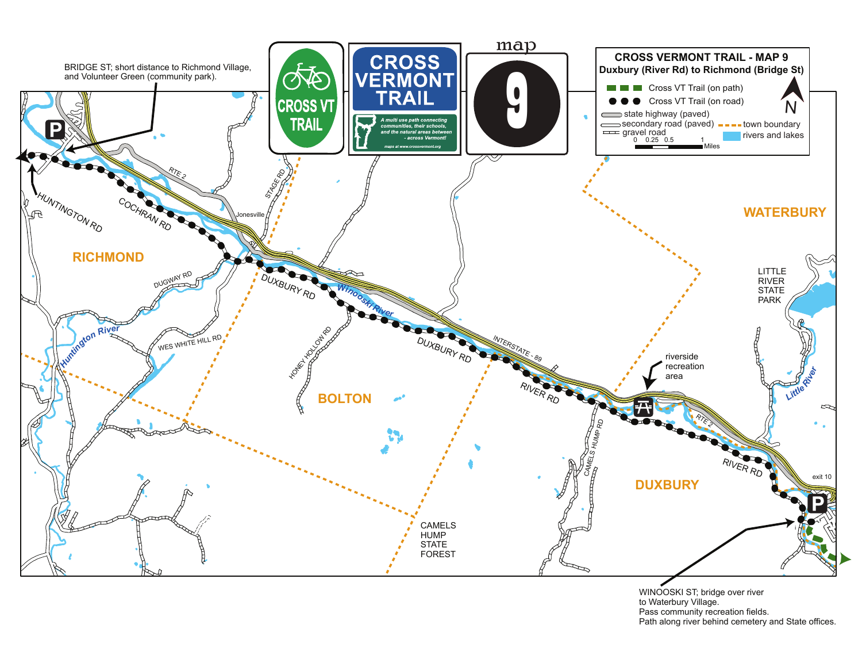

WINOOSKI ST; bridge over river to Waterbury Village. Pass community recreation fields. Path along river behind cemetery and State offices.